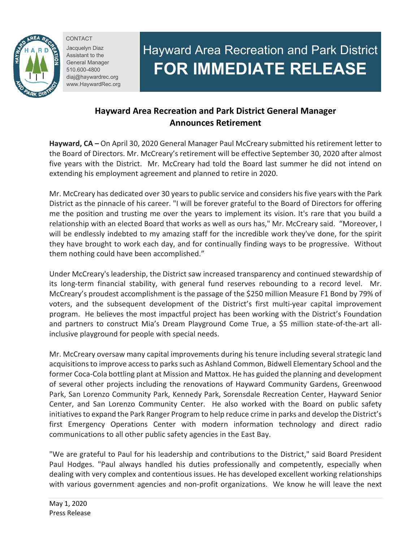

CONTACT Jacquelyn Diaz Assistant to the General Manager 510.600-4800 diaj@haywardrec.org www.HaywardRec.org

## Hayward Area Recreation and Park District **FOR IMMEDIATE RELEASE**

## **Hayward Area Recreation and Park District General Manager Announces Retirement**

**Hayward, CA –** On April 30, 2020 General Manager Paul McCreary submitted his retirement letter to the Board of Directors. Mr. McCreary's retirement will be effective September 30, 2020 after almost five years with the District. Mr. McCreary had told the Board last summer he did not intend on extending his employment agreement and planned to retire in 2020.

Mr. McCreary has dedicated over 30 years to public service and considers his five years with the Park District as the pinnacle of his career. "I will be forever grateful to the Board of Directors for offering me the position and trusting me over the years to implement its vision. It's rare that you build a relationship with an elected Board that works as well as ours has," Mr. McCreary said. "Moreover, I will be endlessly indebted to my amazing staff for the incredible work they've done, for the spirit they have brought to work each day, and for continually finding ways to be progressive. Without them nothing could have been accomplished."

Under McCreary's leadership, the District saw increased transparency and continued stewardship of its long-term financial stability, with general fund reserves rebounding to a record level. Mr. McCreary's proudest accomplishment is the passage of the \$250 million Measure F1 Bond by 79% of voters, and the subsequent development of the District's first multi-year capital improvement program. He believes the most impactful project has been working with the District's Foundation and partners to construct Mia's Dream Playground Come True, a \$5 million state-of-the-art allinclusive playground for people with special needs.

Mr. McCreary oversaw many capital improvements during his tenure including several strategic land acquisitions to improve access to parks such as Ashland Common, Bidwell Elementary School and the former Coca-Cola bottling plant at Mission and Mattox. He has guided the planning and development of several other projects including the renovations of Hayward Community Gardens, Greenwood Park, San Lorenzo Community Park, Kennedy Park, Sorensdale Recreation Center, Hayward Senior Center, and San Lorenzo Community Center. He also worked with the Board on public safety initiatives to expand the Park Ranger Program to help reduce crime in parks and develop the District's first Emergency Operations Center with modern information technology and direct radio communications to all other public safety agencies in the East Bay.

"We are grateful to Paul for his leadership and contributions to the District," said Board President Paul Hodges. "Paul always handled his duties professionally and competently, especially when dealing with very complex and contentious issues. He has developed excellent working relationships with various government agencies and non-profit organizations. We know he will leave the next